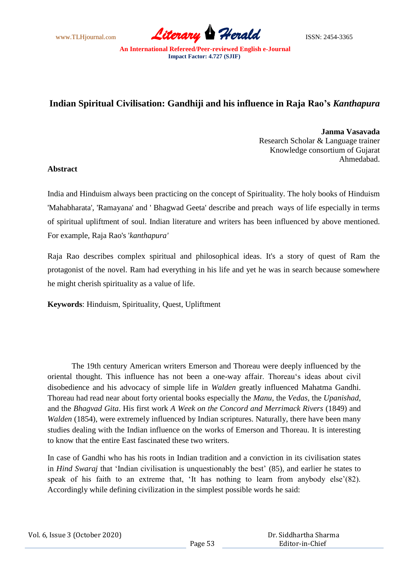www.TLHjournal.com **Literary Herald Herald** ISSN: 2454-3365

## **Indian Spiritual Civilisation: Gandhiji and his influence in Raja Rao's** *Kanthapura*

**Janma Vasavada** Research Scholar & Language trainer Knowledge consortium of Gujarat Ahmedabad.

## **Abstract**

India and Hinduism always been practicing on the concept of Spirituality. The holy books of Hinduism 'Mahabharata', 'Ramayana' and ' Bhagwad Geeta' describe and preach ways of life especially in terms of spiritual upliftment of soul. Indian literature and writers has been influenced by above mentioned. For example, Raja Rao's '*kanthapura'*

Raja Rao describes complex spiritual and philosophical ideas. It's a story of quest of Ram the protagonist of the novel. Ram had everything in his life and yet he was in search because somewhere he might cherish spirituality as a value of life.

**Keywords**: Hinduism, Spirituality, Quest, Upliftment

 The 19th century American writers Emerson and Thoreau were deeply influenced by the oriental thought. This influence has not been a one-way affair. Thoreau"s ideas about civil disobedience and his advocacy of simple life in *Walden* greatly influenced Mahatma Gandhi. Thoreau had read near about forty oriental books especially the *Manu,* the *Vedas,* the *Upanishad*, and the *Bhagvad Gita*. His first work *A Week on the Concord and Merrimack Rivers* (1849) and *Walden* (1854), were extremely influenced by Indian scriptures. Naturally, there have been many studies dealing with the Indian influence on the works of Emerson and Thoreau. It is interesting to know that the entire East fascinated these two writers.

In case of Gandhi who has his roots in Indian tradition and a conviction in its civilisation states in *Hind Swaraj* that 'Indian civilisation is unquestionably the best' (85), and earlier he states to speak of his faith to an extreme that, 'It has nothing to learn from anybody else'(82). Accordingly while defining civilization in the simplest possible words he said: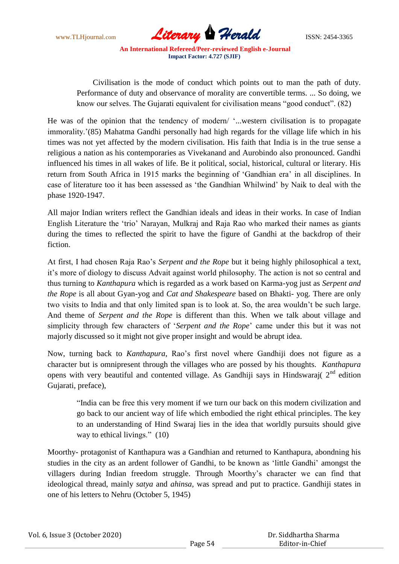

 Civilisation is the mode of conduct which points out to man the path of duty. Performance of duty and observance of morality are convertible terms. ... So doing, we know our selves. The Gujarati equivalent for civilisation means "good conduct". (82)

He was of the opinion that the tendency of modern/ "...western civilisation is to propagate immorality.'(85) Mahatma Gandhi personally had high regards for the village life which in his times was not yet affected by the modern civilisation. His faith that India is in the true sense a religious a nation as his contemporaries as Vivekanand and Aurobindo also pronounced. Gandhi influenced his times in all wakes of life. Be it political, social, historical, cultural or literary. His return from South Africa in 1915 marks the beginning of "Gandhian era" in all disciplines. In case of literature too it has been assessed as "the Gandhian Whilwind" by Naik to deal with the phase 1920-1947.

All major Indian writers reflect the Gandhian ideals and ideas in their works. In case of Indian English Literature the "trio" Narayan, Mulkraj and Raja Rao who marked their names as giants during the times to reflected the spirit to have the figure of Gandhi at the backdrop of their fiction.

At first, I had chosen Raja Rao"s *Serpent and the Rope* but it being highly philosophical a text, it"s more of diology to discuss Advait against world philosophy. The action is not so central and thus turning to *Kanthapura* which is regarded as a work based on Karma-yog just as *Serpent and the Rope* is all about Gyan-yog and *Cat and Shakespeare* based on Bhakti- yog. There are only two visits to India and that only limited span is to look at. So, the area wouldn"t be such large. And theme of *Serpent and the Rope* is different than this. When we talk about village and simplicity through few characters of "*Serpent and the Rope*" came under this but it was not majorly discussed so it might not give proper insight and would be abrupt idea.

Now, turning back to *Kanthapura*, Rao"s first novel where Gandhiji does not figure as a character but is omnipresent through the villages who are possed by his thoughts. *Kanthapura* opens with very beautiful and contented village. As Gandhiji says in Hindswaraj( $2<sup>nd</sup>$  edition Gujarati, preface),

"India can be free this very moment if we turn our back on this modern civilization and go back to our ancient way of life which embodied the right ethical principles. The key to an understanding of Hind Swaraj lies in the idea that worldly pursuits should give way to ethical livings." (10)

Moorthy- protagonist of Kanthapura was a Gandhian and returned to Kanthapura, abondning his studies in the city as an ardent follower of Gandhi, to be known as "little Gandhi" amongst the villagers during Indian freedom struggle. Through Moorthy"s character we can find that ideological thread, mainly *satya* and *ahinsa,* was spread and put to practice. Gandhiji states in one of his letters to Nehru (October 5, 1945)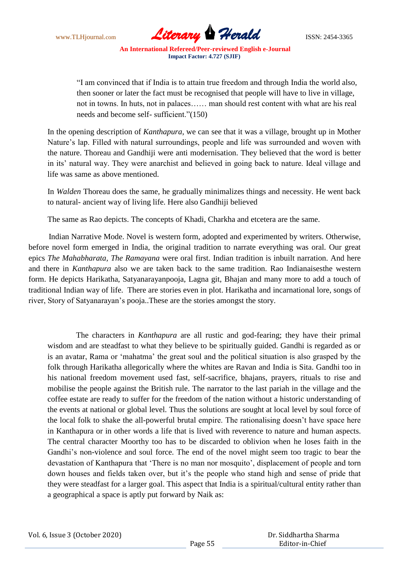

"I am convinced that if India is to attain true freedom and through India the world also, then sooner or later the fact must be recognised that people will have to live in village, not in towns. In huts, not in palaces…… man should rest content with what are his real needs and become self- sufficient."(150)

In the opening description of *Kanthapura*, we can see that it was a village, brought up in Mother Nature's lap. Filled with natural surroundings, people and life was surrounded and woven with the nature. Thoreau and Gandhiji were anti modernisation. They believed that the word is better in its' natural way. They were anarchist and believed in going back to nature. Ideal village and life was same as above mentioned.

In *Walden* Thoreau does the same, he gradually minimalizes things and necessity. He went back to natural- ancient way of living life. Here also Gandhiji believed

The same as Rao depicts. The concepts of Khadi, Charkha and etcetera are the same.

 Indian Narrative Mode. Novel is western form, adopted and experimented by writers. Otherwise, before novel form emerged in India, the original tradition to narrate everything was oral. Our great epics *The Mahabharata, The Ramayana* were oral first. Indian tradition is inbuilt narration. And here and there in *Kanthapura* also we are taken back to the same tradition. Rao Indianaisesthe western form. He depicts Harikatha, Satyanarayanpooja, Lagna git, Bhajan and many more to add a touch of traditional Indian way of life. There are stories even in plot. Harikatha and incarnational lore, songs of river, Story of Satyanarayan"s pooja..These are the stories amongst the story.

The characters in *Kanthapura* are all rustic and god-fearing; they have their primal wisdom and are steadfast to what they believe to be spiritually guided. Gandhi is regarded as or is an avatar, Rama or "mahatma" the great soul and the political situation is also grasped by the folk through Harikatha allegorically where the whites are Ravan and India is Sita. Gandhi too in his national freedom movement used fast, self-sacrifice, bhajans, prayers, rituals to rise and mobilise the people against the British rule. The narrator to the last pariah in the village and the coffee estate are ready to suffer for the freedom of the nation without a historic understanding of the events at national or global level. Thus the solutions are sought at local level by soul force of the local folk to shake the all-powerful brutal empire. The rationalising doesn"t have space here in Kanthapura or in other words a life that is lived with reverence to nature and human aspects. The central character Moorthy too has to be discarded to oblivion when he loses faith in the Gandhi"s non-violence and soul force. The end of the novel might seem too tragic to bear the devastation of Kanthapura that "There is no man nor mosquito", displacement of people and torn down houses and fields taken over, but it's the people who stand high and sense of pride that they were steadfast for a larger goal. This aspect that India is a spiritual/cultural entity rather than a geographical a space is aptly put forward by Naik as: